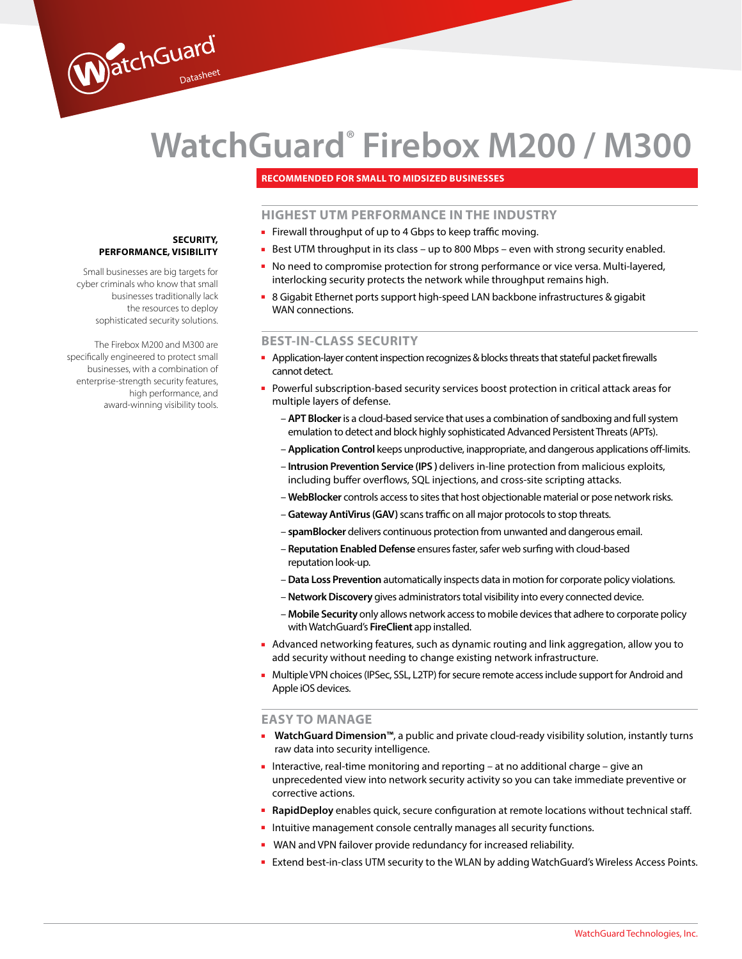# **WatchGuard® Firebox M200 / M300**

## **RECOMMENDED FOR SMALL TO MIDSIZED BUSINESSES**

## **HIGHEST UTM PERFORMANCE IN THE INDUSTRY**

- Firewall throughput of up to 4 Gbps to keep traffic moving.
- Best UTM throughput in its class up to 800 Mbps even with strong security enabled.
- No need to compromise protection for strong performance or vice versa. Multi-layered, interlocking security protects the network while throughput remains high.
- 8 Gigabit Ethernet ports support high-speed LAN backbone infrastructures & gigabit WAN connections.

## **BEST-IN-CLASS SECURITY**

- Application-layer content inspection recognizes & blocks threats that stateful packet firewalls cannot detect.
- Powerful subscription-based security services boost protection in critical attack areas for multiple layers of defense.
	- **APT Blocker** is a cloud-based service that uses a combination of sandboxing and full system emulation to detect and block highly sophisticated Advanced Persistent Threats (APTs).
	- **Application Control** keeps unproductive, inappropriate, and dangerous applications off-limits.
	- **Intrusion Prevention Service (IPS )** delivers in-line protection from malicious exploits, including buffer overflows, SQL injections, and cross-site scripting attacks.
	- **WebBlocker** controls access to sites that host objectionable material or pose network risks.
	- **Gateway AntiVirus (GAV)** scans traffic on all major protocols to stop threats.
	- **spamBlocker** delivers continuous protection from unwanted and dangerous email.
	- **Reputation Enabled Defense** ensures faster, safer web surfing with cloud-based reputation look-up.
	- **Data Loss Prevention** automatically inspects data in motion for corporate policy violations.
	- **Network Discovery** gives administrators total visibility into every connected device.
	- **Mobile Security** only allows network access to mobile devices that adhere to corporate policy with WatchGuard's **FireClient** app installed.
- Advanced networking features, such as dynamic routing and link aggregation, allow you to add security without needing to change existing network infrastructure.
- Multiple VPN choices (IPSec, SSL, L2TP) for secure remote access include support for Android and Apple iOS devices.

## **EASY TO MANAGE**

- **WatchGuard Dimension™**, a public and private cloud-ready visibility solution, instantly turns raw data into security intelligence.
- Interactive, real-time monitoring and reporting at no additional charge give an unprecedented view into network security activity so you can take immediate preventive or corrective actions.
- **RapidDeploy** enables quick, secure configuration at remote locations without technical staff.
- Intuitive management console centrally manages all security functions.
- WAN and VPN failover provide redundancy for increased reliability.
- Extend best-in-class UTM security to the WLAN by adding WatchGuard's Wireless Access Points.

## **SECURITY, PERFORMANCE, VISIBILITY**

WatchGuard

Small businesses are big targets for cyber criminals who know that small businesses traditionally lack the resources to deploy sophisticated security solutions.

The Firebox M200 and M300 are specifically engineered to protect small businesses, with a combination of enterprise-strength security features, high performance, and award-winning visibility tools.